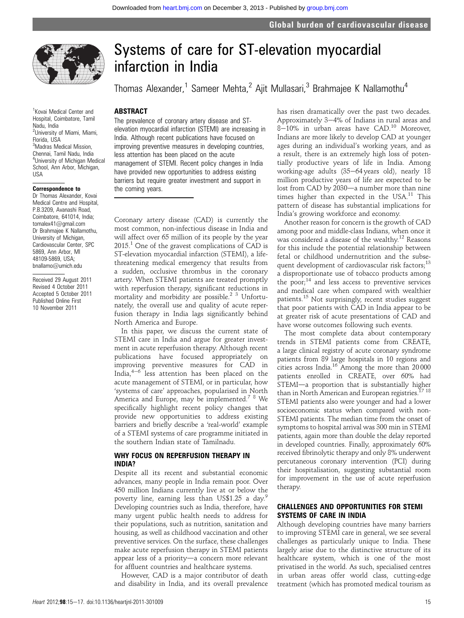

<sup>1</sup> Kovai Medical Center and Hospital, Coimbatore, Tamil Nadu, India <sup>2</sup>University of Miami, Miami, Florida, USA <sup>3</sup>Madras Medical Mission, Chennai, Tamil Nadu, India 4 University of Michigan Medical School, Ann Arbor, Michigan, USA

#### Correspondence to

Dr Thomas Alexander, Kovai Medical Centre and Hospital, P.B.3209, Avanashi Road, Coimbatore, 641014, India; tomalex41@gmail.com Dr Brahmajee K Nallamothu, University of Michigan, Cardiovascular Center, SPC 5869, Ann Arbor, MI 48109-5869, USA; bnallamo@umich.edu

Received 29 August 2011 Revised 4 October 2011 Accepted 5 October 2011 Published Online First 10 November 2011

# Systems of care for ST-elevation myocardial infarction in India

Thomas Alexander,<sup>1</sup> Sameer Mehta,<sup>2</sup> Ajit Mullasari,<sup>3</sup> Brahmajee K Nallamothu<sup>4</sup>

## **ABSTRACT**

The prevalence of coronary artery disease and STelevation myocardial infarction (STEMI) are increasing in India. Although recent publications have focused on improving preventive measures in developing countries, less attention has been placed on the acute management of STEMI. Recent policy changes in India have provided new opportunities to address existing barriers but require greater investment and support in the coming years.

Coronary artery disease (CAD) is currently the most common, non-infectious disease in India and will affect over 65 million of its people by the year  $2015<sup>1</sup>$  One of the gravest complications of CAD is ST-elevation myocardial infarction (STEMI), a lifethreatening medical emergency that results from a sudden, occlusive thrombus in the coronary artery. When STEMI patients are treated promptly with reperfusion therapy, significant reductions in mortality and morbidity are possible.<sup>2</sup><sup>3</sup> Unfortunately, the overall use and quality of acute reperfusion therapy in India lags significantly behind North America and Europe.

In this paper, we discuss the current state of STEMI care in India and argue for greater investment in acute reperfusion therapy. Although recent publications have focused appropriately on improving preventive measures for CAD in India, $4-6$  less attention has been placed on the acute management of STEMI, or in particular, how 'systems of care' approaches, popularised in North America and Europe, may be implemented.<sup>7</sup> <sup>8</sup> We specifically highlight recent policy changes that provide new opportunities to address existing barriers and briefly describe a 'real-world' example of a STEMI systems of care programme initiated in the southern Indian state of Tamilnadu.

#### WHY FOCUS ON REPERFUSION THERAPY IN INDIA?

Despite all its recent and substantial economic advances, many people in India remain poor. Over 450 million Indians currently live at or below the poverty line, earning less than US\$1.25 a day.<sup>9</sup> Developing countries such as India, therefore, have many urgent public health needs to address for their populations, such as nutrition, sanitation and housing, as well as childhood vaccination and other preventive services. On the surface, these challenges make acute reperfusion therapy in STEMI patients appear less of a priority-a concern more relevant for affluent countries and healthcare systems.

However, CAD is a major contributor of death and disability in India, and its overall prevalence has risen dramatically over the past two decades. Approximately  $3-4%$  of Indians in rural areas and  $8-10\%$  in urban areas have CAD.<sup>10</sup> Moreover, Indians are more likely to develop CAD at younger ages during an individual's working years, and as a result, there is an extremely high loss of potentially productive years of life in India. Among working-age adults  $(35-64 \text{ years old})$ , nearly 18 million productive years of life are expected to be lost from CAD by 2030-a number more than nine times higher than expected in the USA.<sup>11</sup> This pattern of disease has substantial implications for India's growing workforce and economy.

Another reason for concern is the growth of CAD among poor and middle-class Indians, when once it was considered a disease of the wealthy.12 Reasons for this include the potential relationship between fetal or childhood undernutrition and the subsequent development of cardiovascular risk factors;<sup>13</sup> a disproportionate use of tobacco products among the poor; $^{14}$  and less access to preventive services and medical care when compared with wealthier patients.<sup>15</sup> Not surprisingly, recent studies suggest that poor patients with CAD in India appear to be at greater risk of acute presentations of CAD and have worse outcomes following such events.

The most complete data about contemporary trends in STEMI patients come from CREATE, a large clinical registry of acute coronary syndrome patients from 89 large hospitals in 10 regions and cities across India.16 Among the more than 20 000 patients enrolled in CREATE, over 60% had STEMI-a proportion that is substantially higher than in North American and European registries.<sup>17 18</sup> STEMI patients also were younger and had a lower socioeconomic status when compared with non-STEMI patients. The median time from the onset of symptoms to hospital arrival was 300 min in STEMI patients, again more than double the delay reported in developed countries. Finally, approximately 60% received fibrinolytic therapy and only 8% underwent percutaneous coronary intervention (PCI) during their hospitalisation, suggesting substantial room for improvement in the use of acute reperfusion therapy.

#### CHALLENGES AND OPPORTUNITIES FOR STEMI SYSTEMS OF CARE IN INDIA

Although developing countries have many barriers to improving STEMI care in general, we see several challenges as particularly unique to India. These largely arise due to the distinctive structure of its healthcare system, which is one of the most privatised in the world. As such, specialised centres in urban areas offer world class, cutting-edge treatment (which has promoted medical tourism as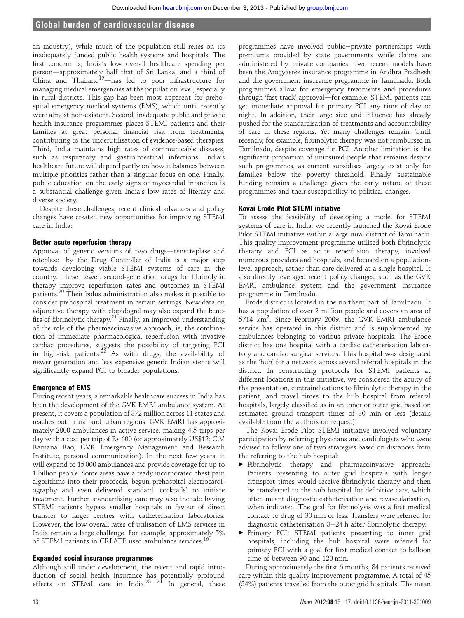## Global burden of cardiovascular disease

an industry), while much of the population still relies on its inadequately funded public health systems and hospitals. The first concern is, India's low overall healthcare spending per person-approximately half that of Sri Lanka, and a third of China and Thailand<sup>19</sup>-has led to poor infrastructure for managing medical emergencies at the population level, especially in rural districts. This gap has been most apparent for prehospital emergency medical systems (EMS), which until recently were almost non-existent. Second, inadequate public and private health insurance programmes places STEMI patients and their families at great personal financial risk from treatments, contributing to the underutilisation of evidence-based therapies. Third, India maintains high rates of communicable diseases, such as respiratory and gastrointestinal infections. India's healthcare future will depend partly on how it balances between multiple priorities rather than a singular focus on one. Finally, public education on the early signs of myocardial infarction is a substantial challenge given India's low rates of literacy and diverse society.

Despite these challenges, recent clinical advances and policy changes have created new opportunities for improving STEMI care in India:

## Better acute reperfusion therapy

Approval of generic versions of two drugs—tenecteplase and reteplase-by the Drug Controller of India is a major step towards developing viable STEMI systems of care in the country. These newer, second-generation drugs for fibrinolytic therapy improve reperfusion rates and outcomes in STEMI patients.<sup>20</sup> Their bolus administration also makes it possible to consider prehospital treatment in certain settings. New data on adjunctive therapy with clopidogrel may also expand the benefits of fibrinolytic therapy.<sup>21</sup> Finally, an improved understanding of the role of the pharmacoinvasive approach, ie, the combination of immediate pharmacological reperfusion with invasive cardiac procedures, suggests the possibility of targeting PCI in high-risk patients. $22^{\circ}$  As with drugs, the availability of newer generation and less expensive generic Indian stents will significantly expand PCI to broader populations.

## Emergence of EMS

During recent years, a remarkable healthcare success in India has been the development of the GVK EMRI ambulance system. At present, it covers a population of 372 million across 11 states and reaches both rural and urban regions. GVK EMRI has approximately 2800 ambulances in active service, making 4.5 trips per day with a cost per trip of Rs 600 (or approximately US\$12; G.V. Ramana Rao, GVK Emergency Management and Research Institute, personal communication). In the next few years, it will expand to 15 000 ambulances and provide coverage for up to 1 billion people. Some areas have already incorporated chest pain algorithms into their protocols, begun prehospital electrocardiography and even delivered standard 'cocktails' to initiate treatment. Further standardising care may also include having STEMI patients bypass smaller hospitals in favour of direct transfer to larger centres with catheterisation laboratories. However, the low overall rates of utilisation of EMS services in India remain a large challenge. For example, approximately 5% of STEMI patients in CREATE used ambulance services.<sup>16</sup>

## Expanded social insurance programmes

Although still under development, the recent and rapid introduction of social health insurance has potentially profound effects on STEMI care in India.<sup>23 24</sup> In general, these

programmes have involved public-private partnerships with premiums provided by state governments while claims are administered by private companies. Two recent models have been the Arogyasree insurance programme in Andhra Pradhesh and the government insurance programme in Tamilnadu. Both programmes allow for emergency treatments and procedures through 'fast-track' approval—for example, STEMI patients can get immediate approval for primary PCI any time of day or night. In addition, their large size and influence has already pushed for the standardisation of treatments and accountability of care in these regions. Yet many challenges remain. Until recently, for example, fibrinolytic therapy was not reimbursed in Tamilnadu, despite coverage for PCI. Another limitation is the significant proportion of uninsured people that remains despite such programmes, as current subsidises largely exist only for families below the poverty threshold. Finally, sustainable funding remains a challenge given the early nature of these programmes and their susceptibility to political changes.

#### Kovai Erode Pilot STEMI initiative

To assess the feasibility of developing a model for STEMI systems of care in India, we recently launched the Kovai Erode Pilot STEMI initiative within a large rural district of Tamilnadu. This quality improvement programme utilised both fibrinolytic therapy and PCI as acute reperfusion therapy, involved numerous providers and hospitals, and focused on a populationlevel approach, rather than care delivered at a single hospital. It also directly leveraged recent policy changes, such as the GVK EMRI ambulance system and the government insurance programme in Tamilnadu.

Erode district is located in the northern part of Tamilnadu. It has a population of over 2 million people and covers an area of 5714 km<sup>2</sup>. Since February 2009, the GVK EMRI ambulance service has operated in this district and is supplemented by ambulances belonging to various private hospitals. The Erode district has one hospital with a cardiac catheterisation laboratory and cardiac surgical services. This hospital was designated as the 'hub' for a network across several referral hospitals in the district. In constructing protocols for STEMI patients at different locations in this initiative, we considered the acuity of the presentation, contraindications to fibrinolytic therapy in the patient, and travel times to the hub hospital from referral hospitals, largely classified as in an inner or outer grid based on estimated ground transport times of 30 min or less (details available from the authors on request).

The Kovai Erode Pilot STEMI initiative involved voluntary participation by referring physicians and cardiologists who were advised to follow one of two strategies based on distances from the referring to the hub hospital:

- < Fibrinolytic therapy and pharmacoinvasive approach: Patients presenting to outer grid hospitals with longer transport times would receive fibrinolytic therapy and then be transferred to the hub hospital for definitive care, which often meant diagnostic catheterisation and revascularisation, when indicated. The goal for fibrinolysis was a first medical contact to drug of 30 min or less. Transfers were referred for diagnostic catheterisation  $3-24$  h after fibrinolytic therapy.
- < Primary PCI: STEMI patients presenting to inner grid hospitals, including the hub hospital were referred for primary PCI with a goal for first medical contact to balloon time of between 90 and 120 min.

During approximately the first 6 months, 84 patients received care within this quality improvement programme. A total of 45 (54%) patients travelled from the outer grid hospitals. The mean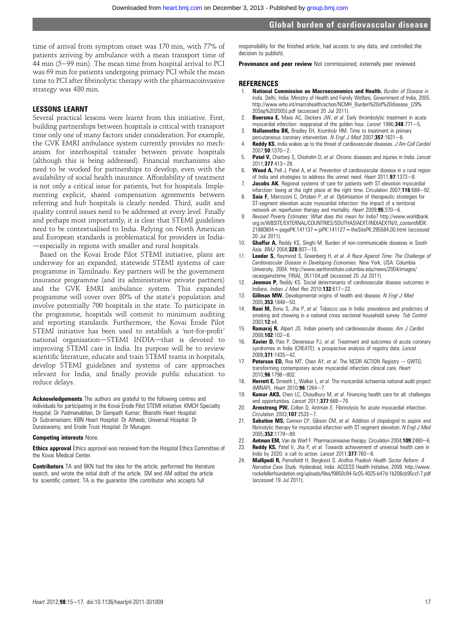time of arrival from symptom onset was 170 min, with 77% of patients arriving by ambulance with a mean transport time of 44 min (5–99 min). The mean time from hospital arrival to PCI was 69 min for patients undergoing primary PCI while the mean time to PCI after fibrinolytic therapy with the pharmacoinvasive strategy was 480 min.

### LESSONS LEARNT

Several practical lessons were learnt from this initiative. First, building partnerships between hospitals is critical with transport time only one of many factors under consideration. For example, the GVK EMRI ambulance system currently provides no mechanism for interhospital transfer between private hospitals (although this is being addressed). Financial mechanisms also need to be worked for partnerships to develop, even with the availability of social health insurance. Affordability of treatment is not only a critical issue for patients, but for hospitals. Implementing explicit, shared compensation agreements between referring and hub hospitals is clearly needed. Third, audit and quality control issues need to be addressed at every level. Finally and perhaps most importantly, it is clear that STEMI guidelines need to be contextualised to India. Relying on North American and European standards is problematical for providers in India--especially in regions with smaller and rural hospitals.

Based on the Kovai Erode Pilot STEMI initiative, plans are underway for an expanded, statewide STEMI systems of care programme in Tamilnadu. Key partners will be the government insurance programme (and its administrative private partners) and the GVK EMRI ambulance system. This expanded programme will cover over 80% of the state's population and involve potentially 700 hospitals in the state. To participate in the programme, hospitals will commit to minimum auditing and reporting standards. Furthermore, the Kovai Erode Pilot STEMI initiative has been used to establish a 'not-for-profit' national organisation-STEMI INDIA-that is devoted to improving STEMI care in India. Its purpose will be to review scientific literature, educate and train STEMI teams in hospitals, develop STEMI guidelines and systems of care approaches relevant for India, and finally provide public education to reduce delays.

Acknowledgements The authors are grateful to the following centres and individuals for participating in the Kovai Erode Pilot STEMI initiative: KMCH Specialty Hospital: Dr Padmanabhan, Dr Sampath Kumar; Bharathi Heart Hospital: Dr Subramaniam; KBN Heart Hospital: Dr Atheeb; Universal Hospital: Dr Duraiswamy; and Erode Trust Hospital: Dr Murugan.

#### Competing interests None.

**Ethics approval** Ethics approval was received from the Hospital Ethics Committee of the Kovai Medical Center.

Contributors TA and BKN had the idea for the article, performed the literature search, and wrote the initial draft of the article. SM and AM edited the article for scientific content. TA is the guarantor (the contributor who accepts full

responsibility for the finished article, had access to any data, and controlled the decision to publish).

**Provenance and peer review** Not commissioned; externally peer reviewed.

#### **REFERENCES**

- 1. National Commission on Macroeconomics and Health. Burden of Disease in India. Delhi, India: Ministry of Health and Family Welfare, Government of India, 2005. http://www.who.int/macrohealth/action/NCMH\_Burden%20of%20disease\_(29% 20Sep%202005).pdf (accessed 20 Jul 2011).
- **Boersma E,** Maas AC, Deckers JW, et al. Early thrombolytic treatment in acute myocardial infarction: reappraisal of the golden hour. Lancet 1996;348:771-5.
- 3. Nallamothu BK, Bradley EH, Krumholz HM. Time to treatment in primary percutaneous coronary intervention. N Engl J Med 2007;357:1631-8.
- **Reddy KS.** India wakes up to the threat of cardiovascular diseases. J Am Coll Cardiol  $2007:50:1370-2.$
- 5. **Patel V,** Chatterji S, Chisholm D, et al. Chronic diseases and injuries in India. Lancet 2011:377:413-28.
- 6. Wood A, Pell J, Patel A, et al. Prevention of cardiovascular disease in a rural region of India and strategies to address the unmet need. Heart  $2011$ ; 97:1373-8.
- Jacobs AK. Regional systems of care for patients with ST-elevation myocardial infarction: being at the right place at the right time. Circulation  $2007;116:689-92$ .
- 8. Saia F, Marrozzini C, Ortolani P, et al. Optimisation of therapeutic strategies for ST-segment elevation acute myocardial infarction: the impact of a territorial network on reperfusion therapy and mortality. Heart 2009;95:370-6.
- 9. Revised Poverty Estimates: What does this mean for India? http://www.worldbank. org.in/WBSITE/EXTERNAL/COUNTRIES/SOUTHASIAEXT/INDIAEXTN/0,,contentMDK: 21880804 $\sim$ pagePK:141137 $\sim$ piPK:141127 $\sim$ theSitePK:295584,00.html (accessed 20 Jul 2011).
- **Ghaffar A, Reddy KS, Singhi M. Burden of non-communicable diseases in South** Asia. BMJ 2004;328:807-10.
- 11. Leeder S, Raymond S, Greenberg H, et al. A Race Against Time: The Challenge of Cardiovascular Disease in Developing Economies. New York, USA: Columbia University, 2004. http://www.earthinstitute.columbia.edu/news/2004/images/ raceagainsttime\_FINAL\_051104.pdf (accessed 20 Jul 2011).
- 12. **Jeemon P,** Reddy KS. Social determinants of cardiovascular disease outcomes in Indians. Indian J Med Res 2010;132:617-22.
- 13. Gillman MW. Developmental origins of health and disease. N Engl J Med 2005:353:1848-50.
- 14. **Rani M,** Bonu S, Jha P, et al. Tobacco use in India: prevalence and predictors of smoking and chewing in a national cross sectional household survey. Tob Control 2003;12:e4.
- 15. Ramaraj R, Alpert JS. Indian poverty and cardiovascular disease. Am J Cardiol 2008;102:102-6.
- Xavier D, Pais P, Devereaux PJ, et al. Treatment and outcomes of acute coronary syndromes in India (CREATE): a prospective analysis of registry data. Lancet 2008:371:1435-42
- 17. Peterson ED, Roe MT, Chen AY, et al. The NCDR ACTION Registry  $-$  GWTG: transforming contemporary acute myocardial infarction clinical care. Heart 2010;96:1798-802.
- 18. Herrett E, Smeeth L, Walker L, et al. The myocardial ischaemia national audit project (MINAP). Heart 2010:96:1264-7.
- 19. **Kumar AKS,** Chen LC, Choudhury M, et al. Financing health care for all: challenges and opportunities. Lancet 2011;377:668-79.
- 20. **Armstrong PW,** Collen D, Antman E. Fibrinolysis for acute myocardial infarction.  $Circulation$  2003:107:2533-7.
- 21. Sabatine MS, Cannon CP, Gibson CM, et al. Addition of clopidogrel to aspirin and fibrinolytic therapy for myocardial infarction with ST-segment elevation. N Engl J Med 2005;352:1179-89.
- 22. **Antman EM,** Van de Werf F. Pharmacoinvasive therapy. Circulation 2004;109:2480-6.
- 23. Reddy KS, Patel V, Jha P, et al. Towards achievement of universal health care in India by 2020: a call to action. Lancet  $2011;377:760-8$ .
- 24. Mallipedi R, Pernefeldt H, Bergkvist S. Andhra Pradesh Health Sector Reform: A Narrative Case Study. Hyderabad, India: ACCESS Health Initiative, 2009. http://www. rockefellerfoundation.org/uploads/files/f9850c94-5c05-4025-b47d-1b206cb95ccf-7.pdf (accessed 19 Jul 2011).